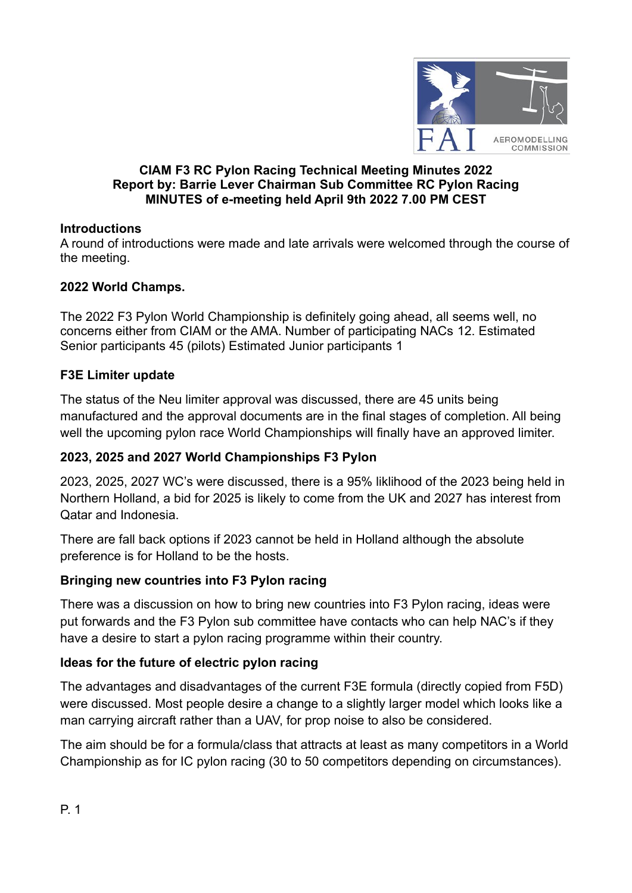

#### **CIAM F3 RC Pylon Racing Technical Meeting Minutes 2022 Report by: Barrie Lever Chairman Sub Committee RC Pylon Racing MINUTES of e-meeting held April 9th 2022 7.00 PM CEST**

# **Introductions**

A round of introductions were made and late arrivals were welcomed through the course of the meeting.

# **2022 World Champs.**

The 2022 F3 Pylon World Championship is definitely going ahead, all seems well, no concerns either from CIAM or the AMA. Number of participating NACs 12. Estimated Senior participants 45 (pilots) Estimated Junior participants 1

#### **F3E Limiter update**

The status of the Neu limiter approval was discussed, there are 45 units being manufactured and the approval documents are in the final stages of completion. All being well the upcoming pylon race World Championships will finally have an approved limiter.

# **2023, 2025 and 2027 World Championships F3 Pylon**

2023, 2025, 2027 WC's were discussed, there is a 95% liklihood of the 2023 being held in Northern Holland, a bid for 2025 is likely to come from the UK and 2027 has interest from Qatar and Indonesia.

There are fall back options if 2023 cannot be held in Holland although the absolute preference is for Holland to be the hosts.

# **Bringing new countries into F3 Pylon racing**

There was a discussion on how to bring new countries into F3 Pylon racing, ideas were put forwards and the F3 Pylon sub committee have contacts who can help NAC's if they have a desire to start a pylon racing programme within their country.

# **Ideas for the future of electric pylon racing**

The advantages and disadvantages of the current F3E formula (directly copied from F5D) were discussed. Most people desire a change to a slightly larger model which looks like a man carrying aircraft rather than a UAV, for prop noise to also be considered.

The aim should be for a formula/class that attracts at least as many competitors in a World Championship as for IC pylon racing (30 to 50 competitors depending on circumstances).